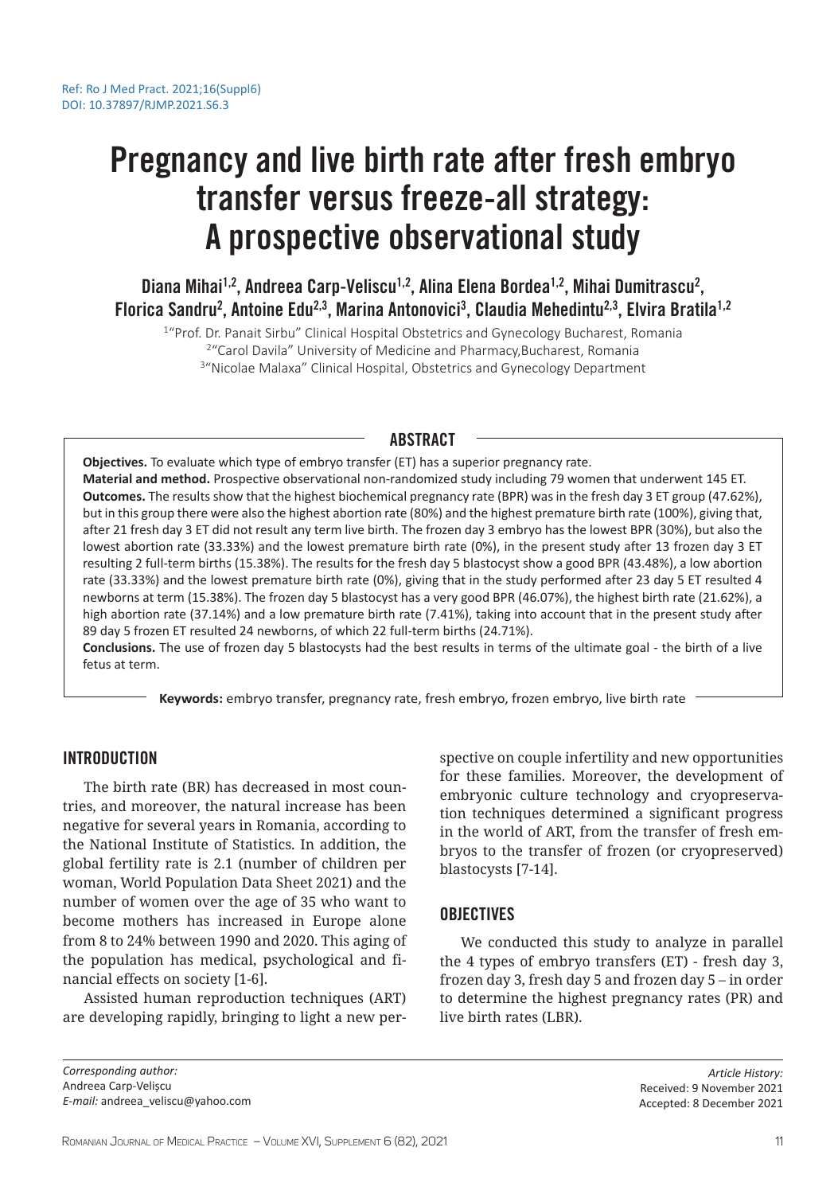# Pregnancy and live birth rate after fresh embryo transfer versus freeze-all strategy: A prospective observational study

Diana Mihai<sup>1,2</sup>, Andreea Carp-Veliscu<sup>1,2</sup>, Alina Elena Bordea<sup>1,2</sup>, Mihai Dumitrascu<sup>2</sup>, Florica Sandru<sup>2</sup>, Antoine Edu<sup>2,3</sup>, Marina Antonovici<sup>3</sup>, Claudia Mehedintu<sup>2,3</sup>, Elvira Bratila<sup>1,2</sup>

<sup>1</sup>"Prof. Dr. Panait Sirbu" Clinical Hospital Obstetrics and Gynecology Bucharest, Romania 2 "Carol Davila" University of Medicine and Pharmacy,Bucharest, Romania <sup>3</sup>"Nicolae Malaxa" Clinical Hospital, Obstetrics and Gynecology Department

# ABSTRACT

**Objectives.** To evaluate which type of embryo transfer (ET) has a superior pregnancy rate. **Material and method.** Prospective observational non-randomized study including 79 women that underwent 145 ET. **Outcomes.** The results show that the highest biochemical pregnancy rate (BPR) was in the fresh day 3 ET group (47.62%), but in this group there were also the highest abortion rate (80%) and the highest premature birth rate (100%), giving that, after 21 fresh day 3 ET did not result any term live birth. The frozen day 3 embryo has the lowest BPR (30%), but also the lowest abortion rate (33.33%) and the lowest premature birth rate (0%), in the present study after 13 frozen day 3 ET resulting 2 full-term births (15.38%). The results for the fresh day 5 blastocyst show a good BPR (43.48%), a low abortion rate (33.33%) and the lowest premature birth rate (0%), giving that in the study performed after 23 day 5 ET resulted 4 newborns at term (15.38%). The frozen day 5 blastocyst has a very good BPR (46.07%), the highest birth rate (21.62%), a high abortion rate (37.14%) and a low premature birth rate (7.41%), taking into account that in the present study after 89 day 5 frozen ET resulted 24 newborns, of which 22 full-term births (24.71%).

**Conclusions.** The use of frozen day 5 blastocysts had the best results in terms of the ultimate goal - the birth of a live fetus at term.

**Keywords:** embryo transfer, pregnancy rate, fresh embryo, frozen embryo, live birth rate

# INTRODUCTION

The birth rate (BR) has decreased in most countries, and moreover, the natural increase has been negative for several years in Romania, according to the National Institute of Statistics. In addition, the global fertility rate is 2.1 (number of children per woman, World Population Data Sheet 2021) and the number of women over the age of 35 who want to become mothers has increased in Europe alone from 8 to 24% between 1990 and 2020. This aging of the population has medical, psychological and financial effects on society [1-6].

Assisted human reproduction techniques (ART) are developing rapidly, bringing to light a new perspective on couple infertility and new opportunities for these families. Moreover, the development of embryonic culture technology and cryopreservation techniques determined a significant progress in the world of ART, from the transfer of fresh embryos to the transfer of frozen (or cryopreserved) blastocysts [7-14].

# **OBJECTIVES**

We conducted this study to analyze in parallel the 4 types of embryo transfers (ET) - fresh day 3, frozen day 3, fresh day 5 and frozen day 5 – in order to determine the highest pregnancy rates (PR) and live birth rates (LBR).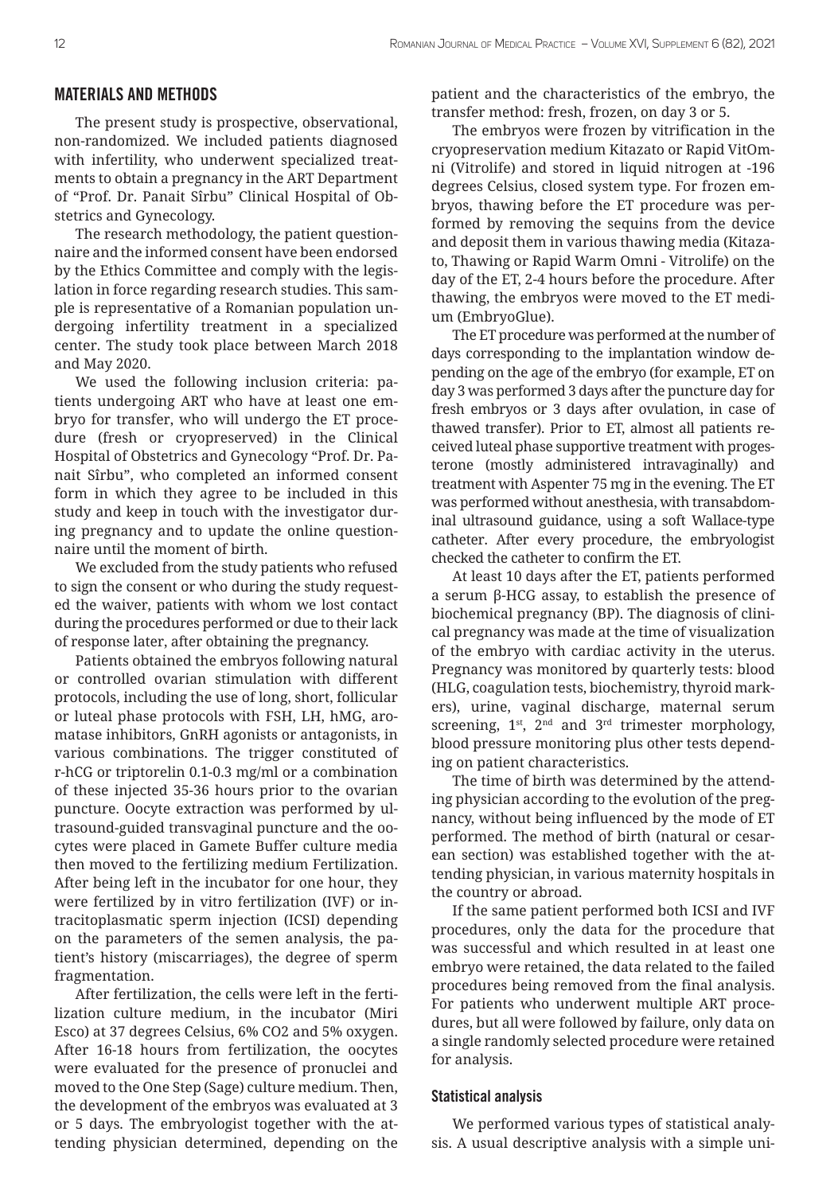## MATERIALS AND METHODS

The present study is prospective, observational, non-randomized. We included patients diagnosed with infertility, who underwent specialized treatments to obtain a pregnancy in the ART Department of "Prof. Dr. Panait Sîrbu" Clinical Hospital of Obstetrics and Gynecology.

The research methodology, the patient questionnaire and the informed consent have been endorsed by the Ethics Committee and comply with the legislation in force regarding research studies. This sample is representative of a Romanian population undergoing infertility treatment in a specialized center. The study took place between March 2018 and May 2020.

We used the following inclusion criteria: patients undergoing ART who have at least one embryo for transfer, who will undergo the ET procedure (fresh or cryopreserved) in the Clinical Hospital of Obstetrics and Gynecology "Prof. Dr. Panait Sîrbu", who completed an informed consent form in which they agree to be included in this study and keep in touch with the investigator during pregnancy and to update the online questionnaire until the moment of birth.

We excluded from the study patients who refused to sign the consent or who during the study requested the waiver, patients with whom we lost contact during the procedures performed or due to their lack of response later, after obtaining the pregnancy.

Patients obtained the embryos following natural or controlled ovarian stimulation with different protocols, including the use of long, short, follicular or luteal phase protocols with FSH, LH, hMG, aromatase inhibitors, GnRH agonists or antagonists, in various combinations. The trigger constituted of r-hCG or triptorelin 0.1-0.3 mg/ml or a combination of these injected 35-36 hours prior to the ovarian puncture. Oocyte extraction was performed by ultrasound-guided transvaginal puncture and the oocytes were placed in Gamete Buffer culture media then moved to the fertilizing medium Fertilization. After being left in the incubator for one hour, they were fertilized by in vitro fertilization (IVF) or intracitoplasmatic sperm injection (ICSI) depending on the parameters of the semen analysis, the patient's history (miscarriages), the degree of sperm fragmentation.

After fertilization, the cells were left in the fertilization culture medium, in the incubator (Miri Esco) at 37 degrees Celsius, 6% CO2 and 5% oxygen. After 16-18 hours from fertilization, the oocytes were evaluated for the presence of pronuclei and moved to the One Step (Sage) culture medium. Then, the development of the embryos was evaluated at 3 or 5 days. The embryologist together with the attending physician determined, depending on the patient and the characteristics of the embryo, the transfer method: fresh, frozen, on day 3 or 5.

The embryos were frozen by vitrification in the cryopreservation medium Kitazato or Rapid VitOmni (Vitrolife) and stored in liquid nitrogen at -196 degrees Celsius, closed system type. For frozen embryos, thawing before the ET procedure was performed by removing the sequins from the device and deposit them in various thawing media (Kitazato, Thawing or Rapid Warm Omni - Vitrolife) on the day of the ET, 2-4 hours before the procedure. After thawing, the embryos were moved to the ET medium (EmbryoGlue).

The ET procedure was performed at the number of days corresponding to the implantation window depending on the age of the embryo (for example, ET on day 3 was performed 3 days after the puncture day for fresh embryos or 3 days after ovulation, in case of thawed transfer). Prior to ET, almost all patients received luteal phase supportive treatment with progesterone (mostly administered intravaginally) and treatment with Aspenter 75 mg in the evening. The ET was performed without anesthesia, with transabdominal ultrasound guidance, using a soft Wallace-type catheter. After every procedure, the embryologist checked the catheter to confirm the ET.

At least 10 days after the ET, patients performed a serum β-HCG assay, to establish the presence of biochemical pregnancy (BP). The diagnosis of clinical pregnancy was made at the time of visualization of the embryo with cardiac activity in the uterus. Pregnancy was monitored by quarterly tests: blood (HLG, coagulation tests, biochemistry, thyroid markers), urine, vaginal discharge, maternal serum screening, 1<sup>st</sup>, 2<sup>nd</sup> and 3<sup>rd</sup> trimester morphology, blood pressure monitoring plus other tests depending on patient characteristics.

The time of birth was determined by the attending physician according to the evolution of the pregnancy, without being influenced by the mode of ET performed. The method of birth (natural or cesarean section) was established together with the attending physician, in various maternity hospitals in the country or abroad.

If the same patient performed both ICSI and IVF procedures, only the data for the procedure that was successful and which resulted in at least one embryo were retained, the data related to the failed procedures being removed from the final analysis. For patients who underwent multiple ART procedures, but all were followed by failure, only data on a single randomly selected procedure were retained for analysis.

## Statistical analysis

We performed various types of statistical analysis. A usual descriptive analysis with a simple uni-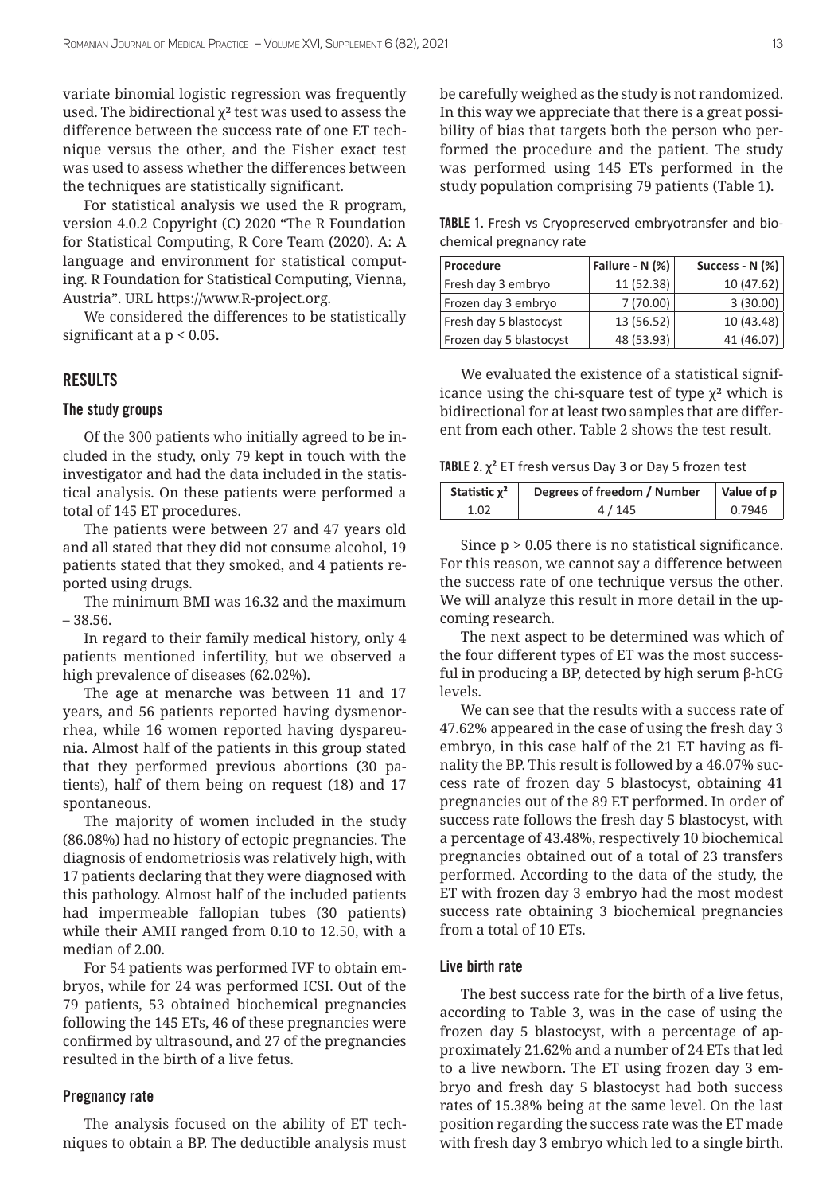variate binomial logistic regression was frequently used. The bidirectional  $\chi^2$  test was used to assess the difference between the success rate of one ET technique versus the other, and the Fisher exact test was used to assess whether the differences between the techniques are statistically significant.

For statistical analysis we used the R program, version 4.0.2 Copyright (C) 2020 "The R Foundation for Statistical Computing, R Core Team (2020). A: A language and environment for statistical computing. R Foundation for Statistical Computing, Vienna, Austria". URL https://www.R-project.org.

We considered the differences to be statistically significant at a p < 0.05.

# RESULTS

## The study groups

Of the 300 patients who initially agreed to be included in the study, only 79 kept in touch with the investigator and had the data included in the statistical analysis. On these patients were performed a total of 145 ET procedures.

The patients were between 27 and 47 years old and all stated that they did not consume alcohol, 19 patients stated that they smoked, and 4 patients reported using drugs.

The minimum BMI was 16.32 and the maximum – 38.56.

In regard to their family medical history, only 4 patients mentioned infertility, but we observed a high prevalence of diseases (62.02%).

The age at menarche was between 11 and 17 years, and 56 patients reported having dysmenorrhea, while 16 women reported having dyspareunia. Almost half of the patients in this group stated that they performed previous abortions (30 patients), half of them being on request (18) and 17 spontaneous.

The majority of women included in the study (86.08%) had no history of ectopic pregnancies. The diagnosis of endometriosis was relatively high, with 17 patients declaring that they were diagnosed with this pathology. Almost half of the included patients had impermeable fallopian tubes (30 patients) while their AMH ranged from 0.10 to 12.50, with a median of 2.00.

For 54 patients was performed IVF to obtain embryos, while for 24 was performed ICSI. Out of the 79 patients, 53 obtained biochemical pregnancies following the 145 ETs, 46 of these pregnancies were confirmed by ultrasound, and 27 of the pregnancies resulted in the birth of a live fetus.

#### Pregnancy rate

The analysis focused on the ability of ET techniques to obtain a BP. The deductible analysis must be carefully weighed as the study is not randomized. In this way we appreciate that there is a great possibility of bias that targets both the person who performed the procedure and the patient. The study was performed using 145 ETs performed in the study population comprising 79 patients (Table 1).

TABLE 1. Fresh vs Cryopreserved embryotransfer and biochemical pregnancy rate

| Procedure               | Failure - N (%) | Success - N $(%)$ |
|-------------------------|-----------------|-------------------|
| Fresh day 3 embryo      | 11 (52.38)      | 10(47.62)         |
| Frozen day 3 embryo     | 7(70.00)        | 3(30.00)          |
| Fresh day 5 blastocyst  | 13 (56.52)      | 10 (43.48)        |
| Frozen day 5 blastocyst | 48 (53.93)      | 41 (46.07)        |

We evaluated the existence of a statistical significance using the chi-square test of type  $\chi^2$  which is bidirectional for at least two samples that are different from each other. Table 2 shows the test result.

TABLE 2.  $\chi^2$  ET fresh versus Day 3 or Day 5 frozen test

| Statistic $\chi^2$ | Degrees of freedom / Number | Value of p |
|--------------------|-----------------------------|------------|
| 1.02               | 4/145                       | 0.7946     |

Since  $p > 0.05$  there is no statistical significance. For this reason, we cannot say a difference between the success rate of one technique versus the other. We will analyze this result in more detail in the upcoming research.

The next aspect to be determined was which of the four different types of ET was the most successful in producing a BP, detected by high serum β-hCG levels.

We can see that the results with a success rate of 47.62% appeared in the case of using the fresh day 3 embryo, in this case half of the 21 ET having as finality the BP. This result is followed by a 46.07% success rate of frozen day 5 blastocyst, obtaining 41 pregnancies out of the 89 ET performed. In order of success rate follows the fresh day 5 blastocyst, with a percentage of 43.48%, respectively 10 biochemical pregnancies obtained out of a total of 23 transfers performed. According to the data of the study, the ET with frozen day 3 embryo had the most modest success rate obtaining 3 biochemical pregnancies from a total of 10 ETs.

#### Live birth rate

The best success rate for the birth of a live fetus, according to Table 3, was in the case of using the frozen day 5 blastocyst, with a percentage of approximately 21.62% and a number of 24 ETs that led to a live newborn. The ET using frozen day 3 embryo and fresh day 5 blastocyst had both success rates of 15.38% being at the same level. On the last position regarding the success rate was the ET made with fresh day 3 embryo which led to a single birth.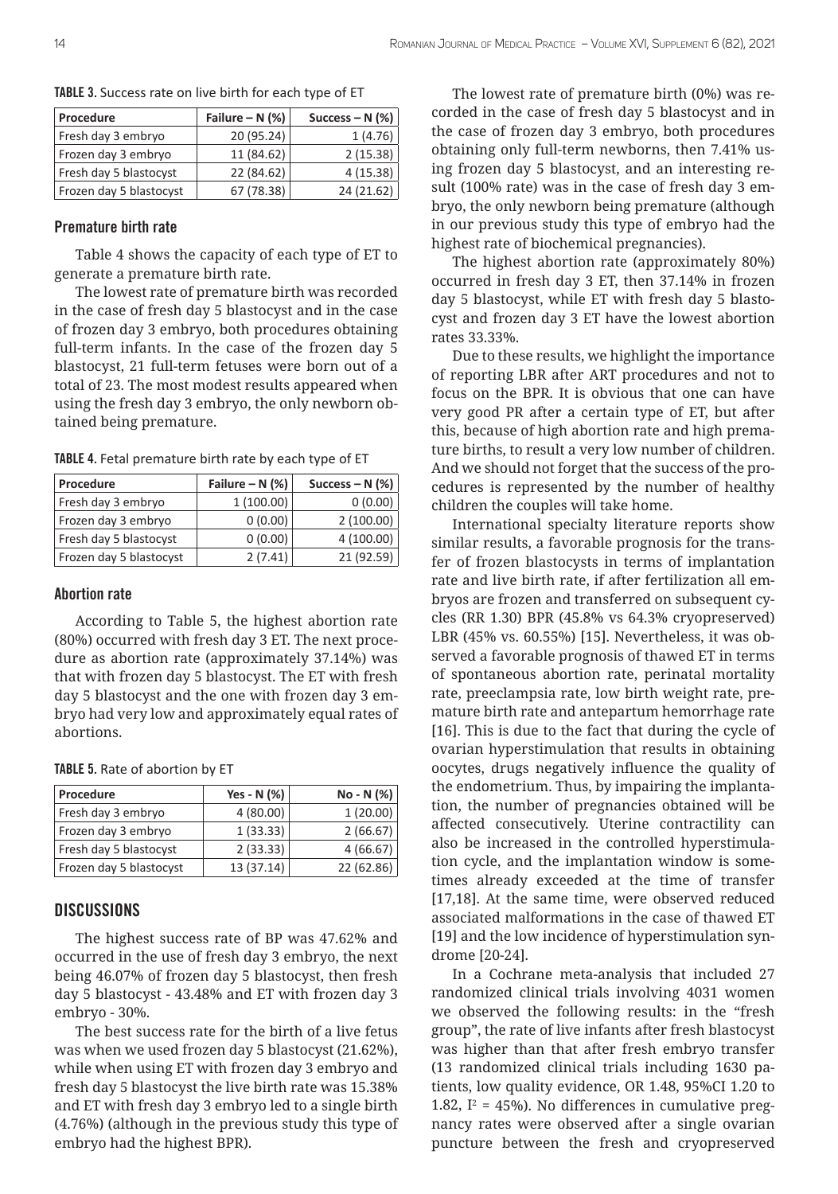| Procedure               | Failure – $N$ (%) | Success – N $(\%)$ |
|-------------------------|-------------------|--------------------|
| Fresh day 3 embryo      | 20 (95.24)        | 1(4.76)            |
| Frozen day 3 embryo     | 11 (84.62)        | 2(15.38)           |
| Fresh day 5 blastocyst  | 22 (84.62)        | 4(15.38)           |
| Frozen day 5 blastocyst | 67 (78.38)        | 24 (21.62)         |

TABLE 3. Success rate on live birth for each type of ET

#### Premature birth rate

Table 4 shows the capacity of each type of ET to generate a premature birth rate.

The lowest rate of premature birth was recorded in the case of fresh day 5 blastocyst and in the case of frozen day 3 embryo, both procedures obtaining full-term infants. In the case of the frozen day 5 blastocyst, 21 full-term fetuses were born out of a total of 23. The most modest results appeared when using the fresh day 3 embryo, the only newborn obtained being premature.

TABLE 4. Fetal premature birth rate by each type of ET

| Procedure               | Failure – $N$ (%) | Success – N $(%)$ |
|-------------------------|-------------------|-------------------|
| Fresh day 3 embryo      | 1(100.00)         | 0(0.00)           |
| Frozen day 3 embryo     | 0(0.00)           | 2(100.00)         |
| Fresh day 5 blastocyst  | 0(0.00)           | 4(100.00)         |
| Frozen day 5 blastocyst | 2(7.41)           | 21 (92.59)        |

## Abortion rate

According to Table 5, the highest abortion rate (80%) occurred with fresh day 3 ET. The next procedure as abortion rate (approximately 37.14%) was that with frozen day 5 blastocyst. The ET with fresh day 5 blastocyst and the one with frozen day 3 embryo had very low and approximately equal rates of abortions.

| TABLE 5. Rate of abortion by ET |  |
|---------------------------------|--|
|---------------------------------|--|

| Procedure               | Yes - N (%) | No - N (%) |
|-------------------------|-------------|------------|
| Fresh day 3 embryo      | 4(80.00)    | 1(20.00)   |
| Frozen day 3 embryo     | 1(33.33)    | 2(66.67)   |
| Fresh day 5 blastocyst  | 2(33.33)    | 4(66.67)   |
| Frozen day 5 blastocyst | 13 (37.14)  | 22 (62.86) |

# **DISCUSSIONS**

The highest success rate of BP was 47.62% and occurred in the use of fresh day 3 embryo, the next being 46.07% of frozen day 5 blastocyst, then fresh day 5 blastocyst - 43.48% and ET with frozen day 3 embryo - 30%.

The best success rate for the birth of a live fetus was when we used frozen day 5 blastocyst (21.62%), while when using ET with frozen day 3 embryo and fresh day 5 blastocyst the live birth rate was 15.38% and ET with fresh day 3 embryo led to a single birth (4.76%) (although in the previous study this type of embryo had the highest BPR).

The lowest rate of premature birth (0%) was recorded in the case of fresh day 5 blastocyst and in the case of frozen day 3 embryo, both procedures obtaining only full-term newborns, then 7.41% using frozen day 5 blastocyst, and an interesting result (100% rate) was in the case of fresh day 3 embryo, the only newborn being premature (although in our previous study this type of embryo had the highest rate of biochemical pregnancies).

The highest abortion rate (approximately 80%) occurred in fresh day 3 ET, then 37.14% in frozen day 5 blastocyst, while ET with fresh day 5 blastocyst and frozen day 3 ET have the lowest abortion rates 33.33%.

Due to these results, we highlight the importance of reporting LBR after ART procedures and not to focus on the BPR. It is obvious that one can have very good PR after a certain type of ET, but after this, because of high abortion rate and high premature births, to result a very low number of children. And we should not forget that the success of the procedures is represented by the number of healthy children the couples will take home.

International specialty literature reports show similar results, a favorable prognosis for the transfer of frozen blastocysts in terms of implantation rate and live birth rate, if after fertilization all embryos are frozen and transferred on subsequent cycles (RR 1.30) BPR (45.8% vs 64.3% cryopreserved) LBR (45% vs. 60.55%) [15]. Nevertheless, it was observed a favorable prognosis of thawed ET in terms of spontaneous abortion rate, perinatal mortality rate, preeclampsia rate, low birth weight rate, premature birth rate and antepartum hemorrhage rate [16]. This is due to the fact that during the cycle of ovarian hyperstimulation that results in obtaining oocytes, drugs negatively influence the quality of the endometrium. Thus, by impairing the implantation, the number of pregnancies obtained will be affected consecutively. Uterine contractility can also be increased in the controlled hyperstimulation cycle, and the implantation window is sometimes already exceeded at the time of transfer [17,18]. At the same time, were observed reduced associated malformations in the case of thawed ET [19] and the low incidence of hyperstimulation syndrome [20-24].

In a Cochrane meta-analysis that included 27 randomized clinical trials involving 4031 women we observed the following results: in the "fresh group", the rate of live infants after fresh blastocyst was higher than that after fresh embryo transfer (13 randomized clinical trials including 1630 patients, low quality evidence, OR 1.48, 95%CI 1.20 to 1.82,  $I^2 = 45\%$ ). No differences in cumulative pregnancy rates were observed after a single ovarian puncture between the fresh and cryopreserved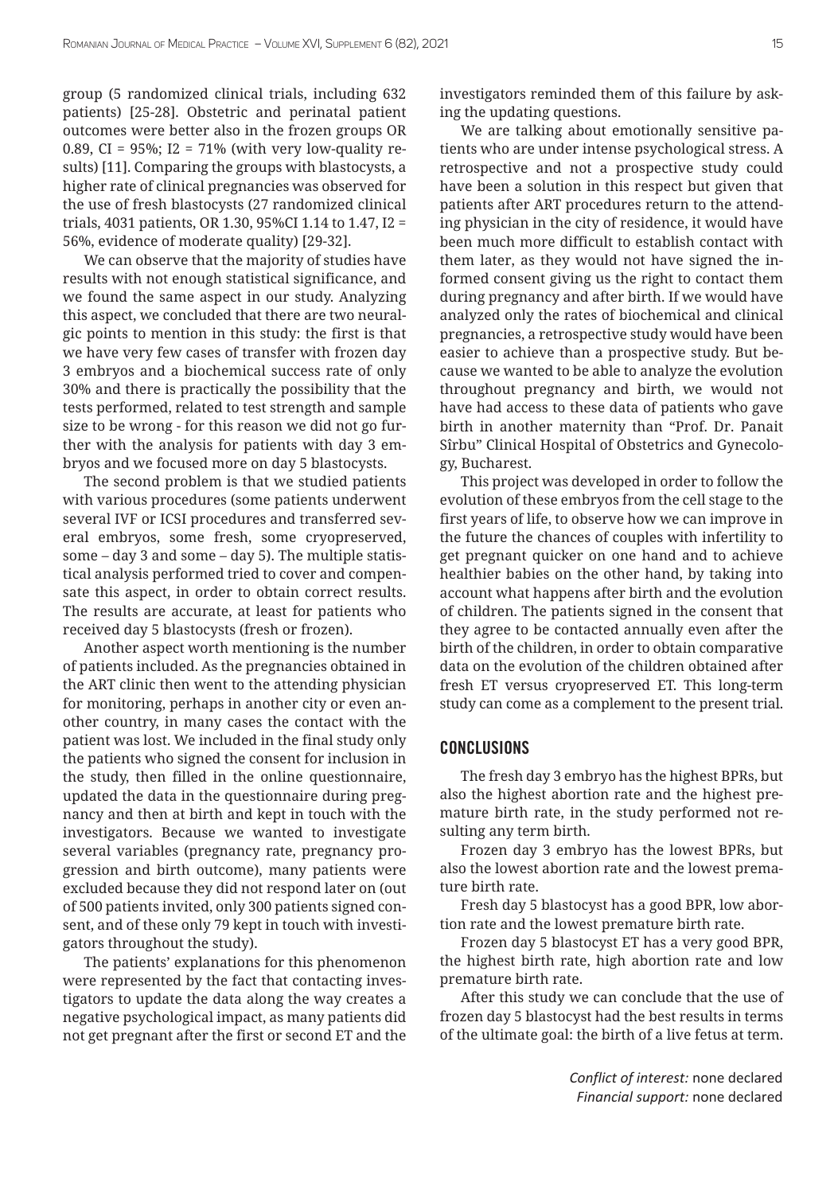group (5 randomized clinical trials, including 632 patients) [25-28]. Obstetric and perinatal patient outcomes were better also in the frozen groups OR 0.89, CI = 95%; I2 = 71% (with very low-quality results) [11]. Comparing the groups with blastocysts, a higher rate of clinical pregnancies was observed for the use of fresh blastocysts (27 randomized clinical trials, 4031 patients, OR 1.30, 95%CI 1.14 to 1.47, I2 = 56%, evidence of moderate quality) [29-32].

We can observe that the majority of studies have results with not enough statistical significance, and we found the same aspect in our study. Analyzing this aspect, we concluded that there are two neuralgic points to mention in this study: the first is that we have very few cases of transfer with frozen day 3 embryos and a biochemical success rate of only 30% and there is practically the possibility that the tests performed, related to test strength and sample size to be wrong - for this reason we did not go further with the analysis for patients with day 3 embryos and we focused more on day 5 blastocysts.

The second problem is that we studied patients with various procedures (some patients underwent several IVF or ICSI procedures and transferred several embryos, some fresh, some cryopreserved, some – day 3 and some – day 5). The multiple statistical analysis performed tried to cover and compensate this aspect, in order to obtain correct results. The results are accurate, at least for patients who received day 5 blastocysts (fresh or frozen).

Another aspect worth mentioning is the number of patients included. As the pregnancies obtained in the ART clinic then went to the attending physician for monitoring, perhaps in another city or even another country, in many cases the contact with the patient was lost. We included in the final study only the patients who signed the consent for inclusion in the study, then filled in the online questionnaire, updated the data in the questionnaire during pregnancy and then at birth and kept in touch with the investigators. Because we wanted to investigate several variables (pregnancy rate, pregnancy progression and birth outcome), many patients were excluded because they did not respond later on (out of 500 patients invited, only 300 patients signed consent, and of these only 79 kept in touch with investigators throughout the study).

The patients' explanations for this phenomenon were represented by the fact that contacting investigators to update the data along the way creates a negative psychological impact, as many patients did not get pregnant after the first or second ET and the

investigators reminded them of this failure by asking the updating questions.

We are talking about emotionally sensitive patients who are under intense psychological stress. A retrospective and not a prospective study could have been a solution in this respect but given that patients after ART procedures return to the attending physician in the city of residence, it would have been much more difficult to establish contact with them later, as they would not have signed the informed consent giving us the right to contact them during pregnancy and after birth. If we would have analyzed only the rates of biochemical and clinical pregnancies, a retrospective study would have been easier to achieve than a prospective study. But because we wanted to be able to analyze the evolution throughout pregnancy and birth, we would not have had access to these data of patients who gave birth in another maternity than "Prof. Dr. Panait Sîrbu" Clinical Hospital of Obstetrics and Gynecology, Bucharest.

This project was developed in order to follow the evolution of these embryos from the cell stage to the first years of life, to observe how we can improve in the future the chances of couples with infertility to get pregnant quicker on one hand and to achieve healthier babies on the other hand, by taking into account what happens after birth and the evolution of children. The patients signed in the consent that they agree to be contacted annually even after the birth of the children, in order to obtain comparative data on the evolution of the children obtained after fresh ET versus cryopreserved ET. This long-term study can come as a complement to the present trial.

# **CONCLUSIONS**

The fresh day 3 embryo has the highest BPRs, but also the highest abortion rate and the highest premature birth rate, in the study performed not resulting any term birth.

Frozen day 3 embryo has the lowest BPRs, but also the lowest abortion rate and the lowest premature birth rate.

Fresh day 5 blastocyst has a good BPR, low abortion rate and the lowest premature birth rate.

Frozen day 5 blastocyst ET has a very good BPR, the highest birth rate, high abortion rate and low premature birth rate.

After this study we can conclude that the use of frozen day 5 blastocyst had the best results in terms of the ultimate goal: the birth of a live fetus at term.

> *Conflict of interest:* none declared *Financial support:* none declared